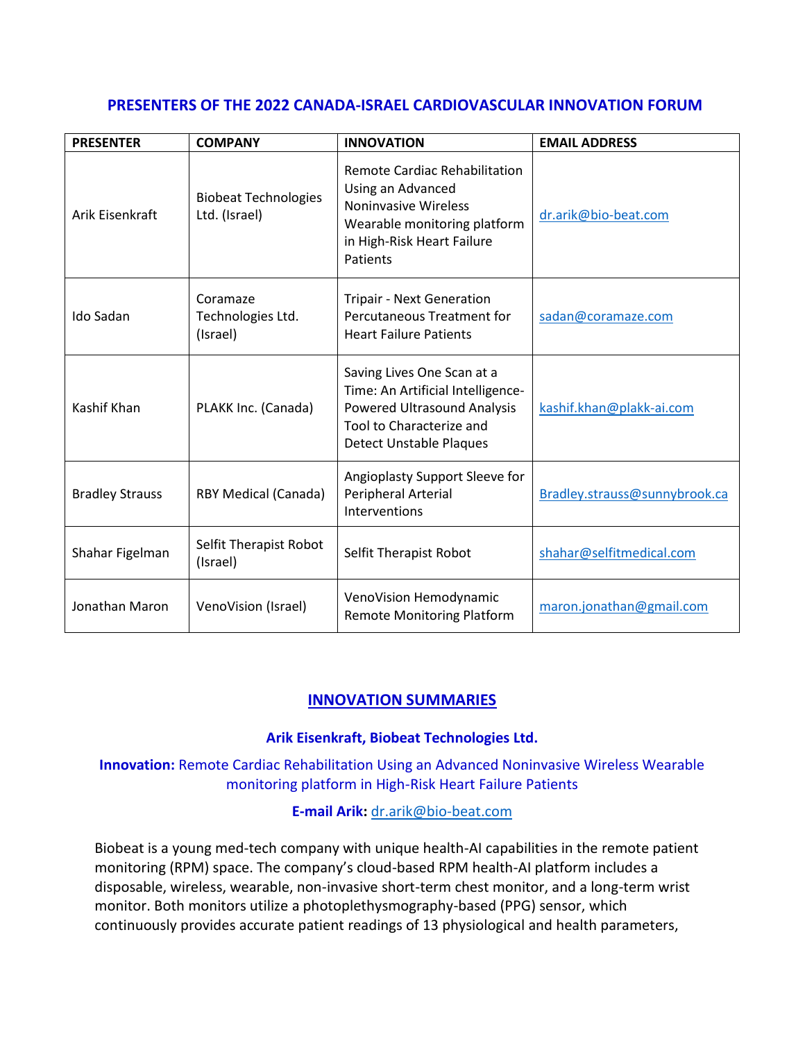# **PRESENTERS OF THE 2022 CANADA-ISRAEL CARDIOVASCULAR INNOVATION FORUM**

| <b>PRESENTER</b>       | <b>COMPANY</b>                               | <b>INNOVATION</b>                                                                                                                                                   | <b>EMAIL ADDRESS</b>          |
|------------------------|----------------------------------------------|---------------------------------------------------------------------------------------------------------------------------------------------------------------------|-------------------------------|
| Arik Eisenkraft        | <b>Biobeat Technologies</b><br>Ltd. (Israel) | Remote Cardiac Rehabilitation<br>Using an Advanced<br><b>Noninvasive Wireless</b><br>Wearable monitoring platform<br>in High-Risk Heart Failure<br>Patients         | dr.arik@bio-beat.com          |
| Ido Sadan              | Coramaze<br>Technologies Ltd.<br>(Israel)    | <b>Tripair - Next Generation</b><br>Percutaneous Treatment for<br><b>Heart Failure Patients</b>                                                                     | sadan@coramaze.com            |
| Kashif Khan            | PLAKK Inc. (Canada)                          | Saving Lives One Scan at a<br>Time: An Artificial Intelligence-<br><b>Powered Ultrasound Analysis</b><br>Tool to Characterize and<br><b>Detect Unstable Plaques</b> | kashif.khan@plakk-ai.com      |
| <b>Bradley Strauss</b> | <b>RBY Medical (Canada)</b>                  | Angioplasty Support Sleeve for<br>Peripheral Arterial<br>Interventions                                                                                              | Bradley.strauss@sunnybrook.ca |
| Shahar Figelman        | Selfit Therapist Robot<br>(Israel)           | Selfit Therapist Robot                                                                                                                                              | shahar@selfitmedical.com      |
| Jonathan Maron         | VenoVision (Israel)                          | VenoVision Hemodynamic<br><b>Remote Monitoring Platform</b>                                                                                                         | maron.jonathan@gmail.com      |

# **INNOVATION SUMMARIES**

# **Arik Eisenkraft, Biobeat Technologies Ltd.**

**Innovation:** Remote Cardiac Rehabilitation Using an Advanced Noninvasive Wireless Wearable monitoring platform in High-Risk Heart Failure Patients

**E-mail Arik:** [dr.arik@bio-beat.com](mailto:dr.arik@bio-beat.com)

Biobeat is a young med-tech company with unique health-AI capabilities in the remote patient monitoring (RPM) space. The company's cloud-based RPM health-AI platform includes a disposable, wireless, wearable, non-invasive short-term chest monitor, and a long-term wrist monitor. Both monitors utilize a photoplethysmography-based (PPG) sensor, which continuously provides accurate patient readings of 13 physiological and health parameters,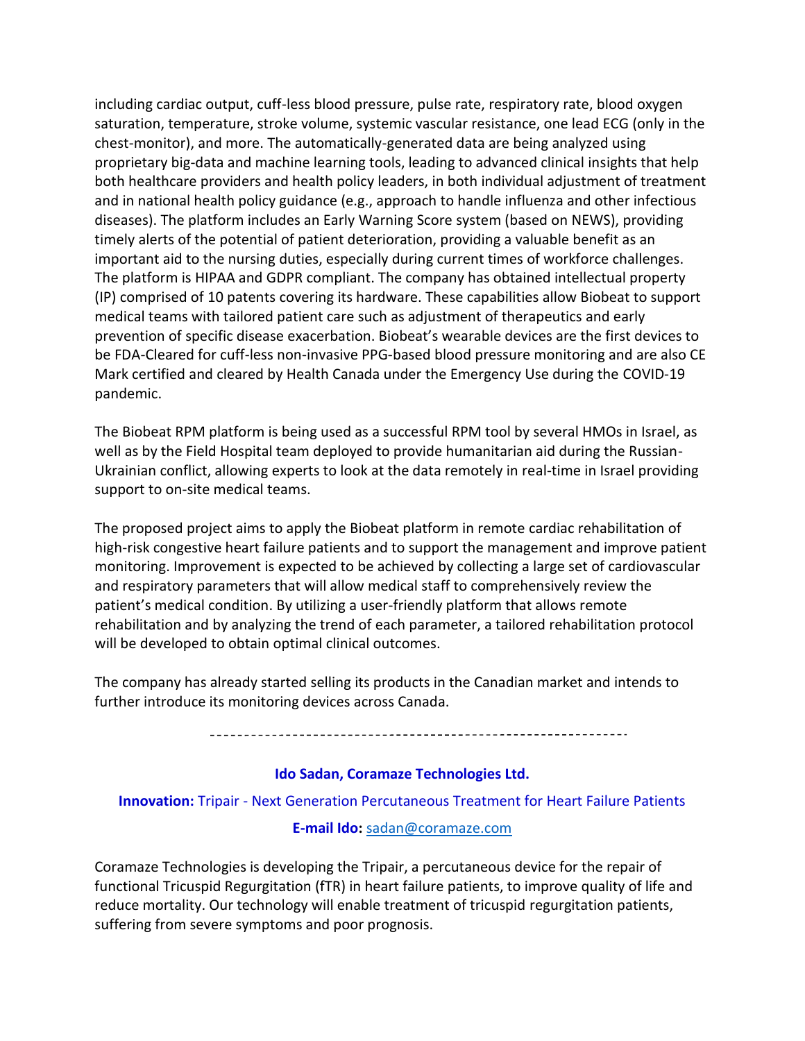including cardiac output, cuff-less blood pressure, pulse rate, respiratory rate, blood oxygen saturation, temperature, stroke volume, systemic vascular resistance, one lead ECG (only in the chest-monitor), and more. The automatically-generated data are being analyzed using proprietary big-data and machine learning tools, leading to advanced clinical insights that help both healthcare providers and health policy leaders, in both individual adjustment of treatment and in national health policy guidance (e.g., approach to handle influenza and other infectious diseases). The platform includes an Early Warning Score system (based on NEWS), providing timely alerts of the potential of patient deterioration, providing a valuable benefit as an important aid to the nursing duties, especially during current times of workforce challenges. The platform is HIPAA and GDPR compliant. The company has obtained intellectual property (IP) comprised of 10 patents covering its hardware. These capabilities allow Biobeat to support medical teams with tailored patient care such as adjustment of therapeutics and early prevention of specific disease exacerbation. Biobeat's wearable devices are the first devices to be FDA-Cleared for cuff-less non-invasive PPG-based blood pressure monitoring and are also CE Mark certified and cleared by Health Canada under the Emergency Use during the COVID-19 pandemic.

The Biobeat RPM platform is being used as a successful RPM tool by several HMOs in Israel, as well as by the Field Hospital team deployed to provide humanitarian aid during the Russian-Ukrainian conflict, allowing experts to look at the data remotely in real-time in Israel providing support to on-site medical teams.

The proposed project aims to apply the Biobeat platform in remote cardiac rehabilitation of high-risk congestive heart failure patients and to support the management and improve patient monitoring. Improvement is expected to be achieved by collecting a large set of cardiovascular and respiratory parameters that will allow medical staff to comprehensively review the patient's medical condition. By utilizing a user-friendly platform that allows remote rehabilitation and by analyzing the trend of each parameter, a tailored rehabilitation protocol will be developed to obtain optimal clinical outcomes.

The company has already started selling its products in the Canadian market and intends to further introduce its monitoring devices across Canada.

## **Ido Sadan, Coramaze Technologies Ltd.**

**Innovation:** Tripair - Next Generation Percutaneous Treatment for Heart Failure Patients

#### **E-mail Ido:** [sadan@coramaze.com](mailto:sadan@coramaze.com)

Coramaze Technologies is developing the Tripair, a percutaneous device for the repair of functional Tricuspid Regurgitation (fTR) in heart failure patients, to improve quality of life and reduce mortality. Our technology will enable treatment of tricuspid regurgitation patients, suffering from severe symptoms and poor prognosis.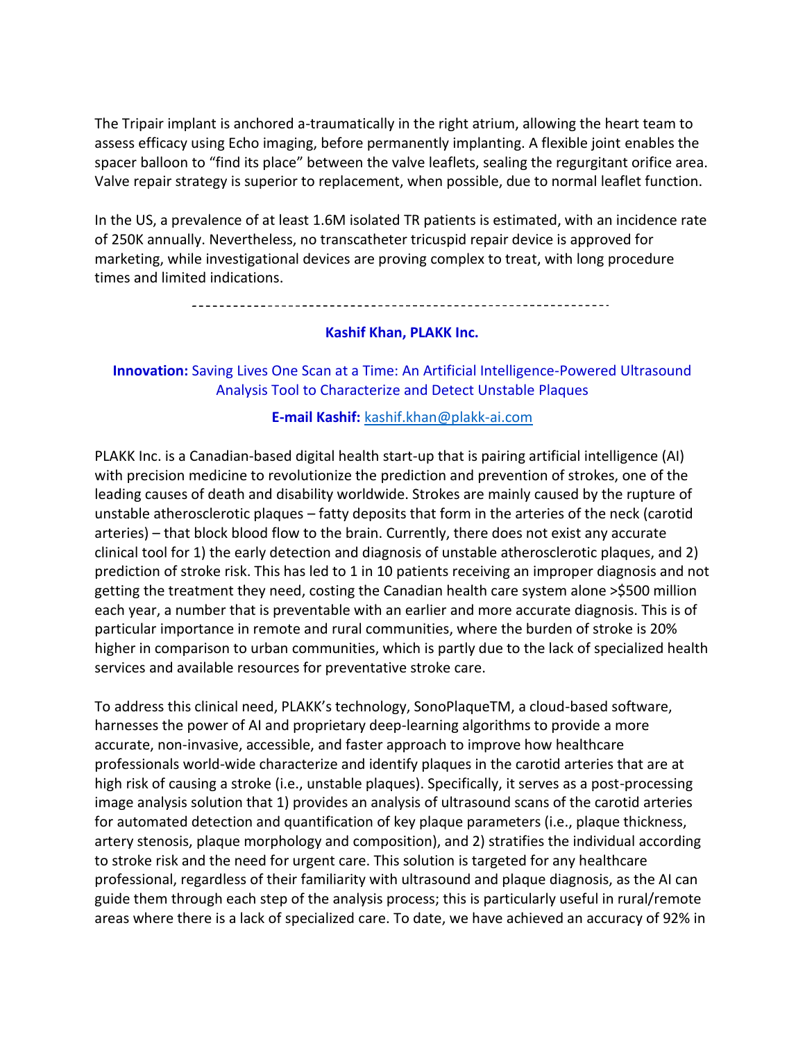The Tripair implant is anchored a-traumatically in the right atrium, allowing the heart team to assess efficacy using Echo imaging, before permanently implanting. A flexible joint enables the spacer balloon to "find its place" between the valve leaflets, sealing the regurgitant orifice area. Valve repair strategy is superior to replacement, when possible, due to normal leaflet function.

In the US, a prevalence of at least 1.6M isolated TR patients is estimated, with an incidence rate of 250K annually. Nevertheless, no transcatheter tricuspid repair device is approved for marketing, while investigational devices are proving complex to treat, with long procedure times and limited indications.

## **Kashif Khan, PLAKK Inc.**

# **Innovation:** Saving Lives One Scan at a Time: An Artificial Intelligence-Powered Ultrasound Analysis Tool to Characterize and Detect Unstable Plaques

## **E-mail Kashif:** [kashif.khan@plakk-ai.com](mailto:kashif.khan@plakk-ai.com)

PLAKK Inc. is a Canadian-based digital health start-up that is pairing artificial intelligence (AI) with precision medicine to revolutionize the prediction and prevention of strokes, one of the leading causes of death and disability worldwide. Strokes are mainly caused by the rupture of unstable atherosclerotic plaques – fatty deposits that form in the arteries of the neck (carotid arteries) – that block blood flow to the brain. Currently, there does not exist any accurate clinical tool for 1) the early detection and diagnosis of unstable atherosclerotic plaques, and 2) prediction of stroke risk. This has led to 1 in 10 patients receiving an improper diagnosis and not getting the treatment they need, costing the Canadian health care system alone >\$500 million each year, a number that is preventable with an earlier and more accurate diagnosis. This is of particular importance in remote and rural communities, where the burden of stroke is 20% higher in comparison to urban communities, which is partly due to the lack of specialized health services and available resources for preventative stroke care.

To address this clinical need, PLAKK's technology, SonoPlaqueTM, a cloud-based software, harnesses the power of AI and proprietary deep-learning algorithms to provide a more accurate, non-invasive, accessible, and faster approach to improve how healthcare professionals world-wide characterize and identify plaques in the carotid arteries that are at high risk of causing a stroke (i.e., unstable plaques). Specifically, it serves as a post-processing image analysis solution that 1) provides an analysis of ultrasound scans of the carotid arteries for automated detection and quantification of key plaque parameters (i.e., plaque thickness, artery stenosis, plaque morphology and composition), and 2) stratifies the individual according to stroke risk and the need for urgent care. This solution is targeted for any healthcare professional, regardless of their familiarity with ultrasound and plaque diagnosis, as the AI can guide them through each step of the analysis process; this is particularly useful in rural/remote areas where there is a lack of specialized care. To date, we have achieved an accuracy of 92% in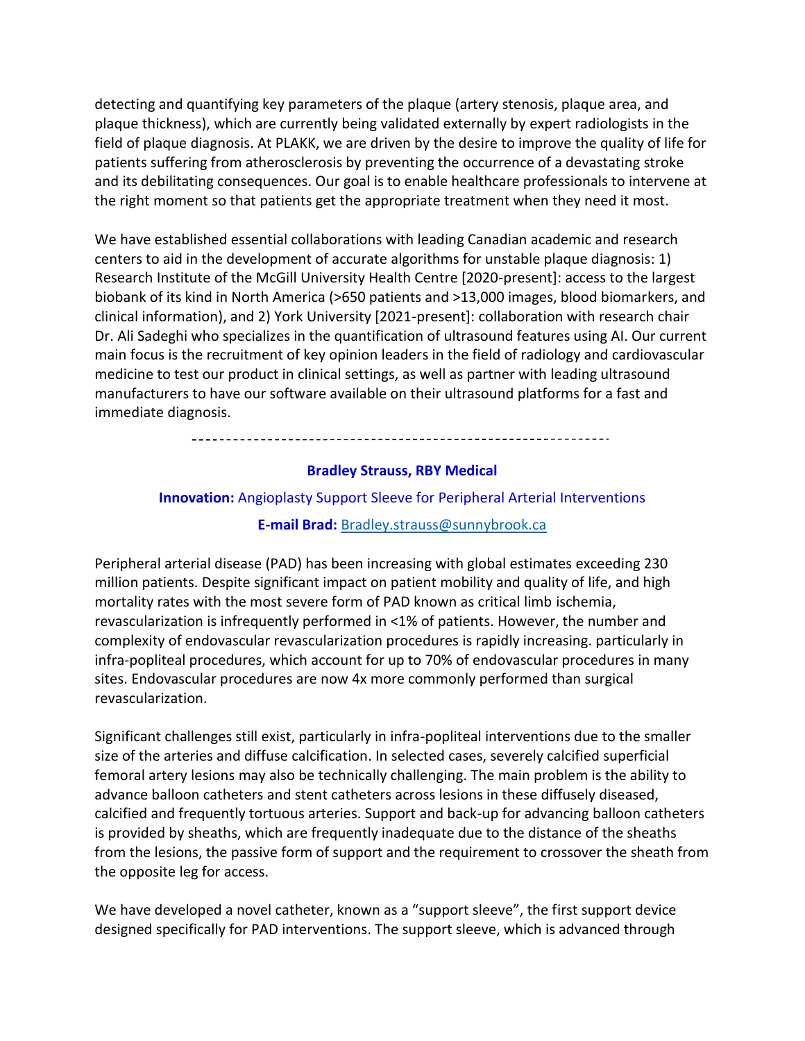detecting and quantifying key parameters of the plaque (artery stenosis, plaque area, and plaque thickness), which are currently being validated externally by expert radiologists in the field of plaque diagnosis. At PLAKK, we are driven by the desire to improve the quality of life for patients suffering from atherosclerosis by preventing the occurrence of a devastating stroke and its debilitating consequences. Our goal is to enable healthcare professionals to intervene at the right moment so that patients get the appropriate treatment when they need it most.

We have established essential collaborations with leading Canadian academic and research centers to aid in the development of accurate algorithms for unstable plaque diagnosis: 1) Research Institute of the McGill University Health Centre [2020-present]: access to the largest biobank of its kind in North America (>650 patients and >13,000 images, blood biomarkers, and clinical information), and 2) York University [2021-present]: collaboration with research chair Dr. Ali Sadeghi who specializes in the quantification of ultrasound features using AI. Our current main focus is the recruitment of key opinion leaders in the field of radiology and cardiovascular medicine to test our product in clinical settings, as well as partner with leading ultrasound manufacturers to have our software available on their ultrasound platforms for a fast and immediate diagnosis.

#### **Bradley Strauss, RBY Medical**

# **Innovation:** Angioplasty Support Sleeve for Peripheral Arterial Interventions

## **E-mail Brad:** [Bradley.strauss@sunnybrook.ca](mailto:Bradley.strauss@sunnybrook.ca)

Peripheral arterial disease (PAD) has been increasing with global estimates exceeding 230 million patients. Despite significant impact on patient mobility and quality of life, and high mortality rates with the most severe form of PAD known as critical limb ischemia, revascularization is infrequently performed in <1% of patients. However, the number and complexity of endovascular revascularization procedures is rapidly increasing. particularly in infra-popliteal procedures, which account for up to 70% of endovascular procedures in many sites. Endovascular procedures are now 4x more commonly performed than surgical revascularization.

Significant challenges still exist, particularly in infra-popliteal interventions due to the smaller size of the arteries and diffuse calcification. In selected cases, severely calcified superficial femoral artery lesions may also be technically challenging. The main problem is the ability to advance balloon catheters and stent catheters across lesions in these diffusely diseased, calcified and frequently tortuous arteries. Support and back-up for advancing balloon catheters is provided by sheaths, which are frequently inadequate due to the distance of the sheaths from the lesions, the passive form of support and the requirement to crossover the sheath from the opposite leg for access.

We have developed a novel catheter, known as a "support sleeve", the first support device designed specifically for PAD interventions. The support sleeve, which is advanced through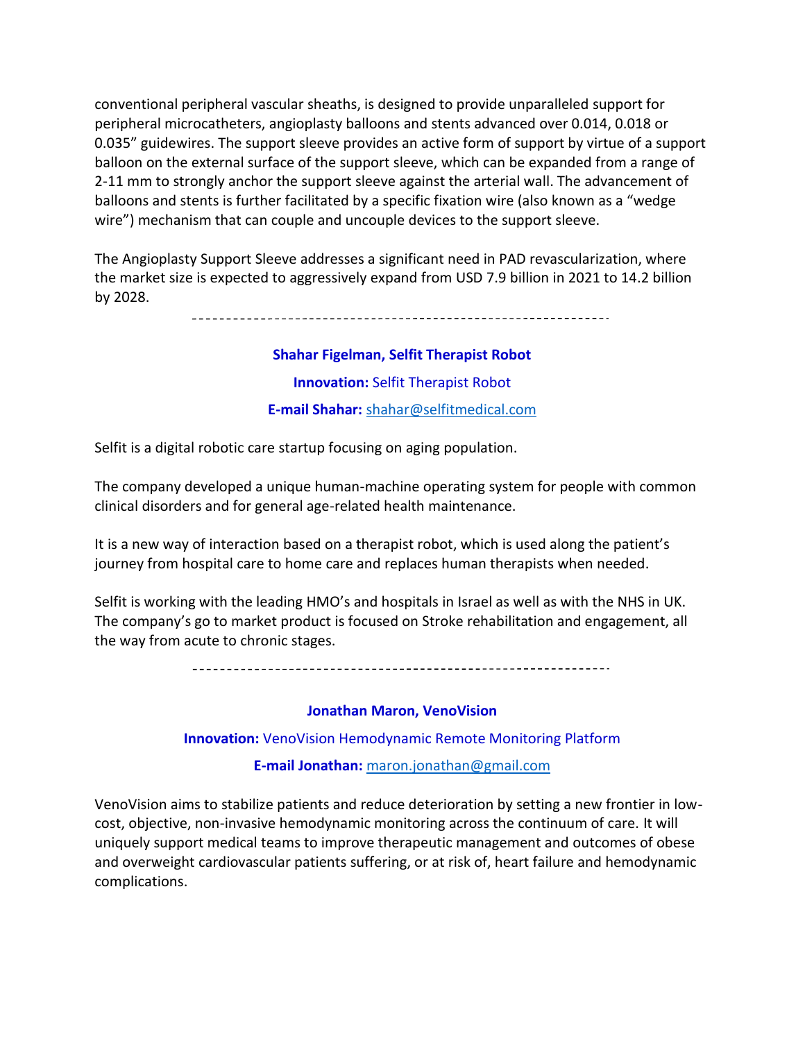conventional peripheral vascular sheaths, is designed to provide unparalleled support for peripheral microcatheters, angioplasty balloons and stents advanced over 0.014, 0.018 or 0.035" guidewires. The support sleeve provides an active form of support by virtue of a support balloon on the external surface of the support sleeve, which can be expanded from a range of 2-11 mm to strongly anchor the support sleeve against the arterial wall. The advancement of balloons and stents is further facilitated by a specific fixation wire (also known as a "wedge wire") mechanism that can couple and uncouple devices to the support sleeve.

The Angioplasty Support Sleeve addresses a significant need in PAD revascularization, where the market size is expected to aggressively expand from USD 7.9 billion in 2021 to 14.2 billion by 2028.

**Shahar Figelman, Selfit Therapist Robot Innovation:** Selfit Therapist Robot **E-mail Shahar:** [shahar@selfitmedical.com](mailto:Shahar@selfitmedical.com)

Selfit is a digital robotic care startup focusing on aging population.

The company developed a unique human-machine operating system for people with common clinical disorders and for general age-related health maintenance.

It is a new way of interaction based on a therapist robot, which is used along the patient's journey from hospital care to home care and replaces human therapists when needed.

Selfit is working with the leading HMO's and hospitals in Israel as well as with the NHS in UK. The company's go to market product is focused on Stroke rehabilitation and engagement, all the way from acute to chronic stages.

#### **Jonathan Maron, VenoVision**

**Innovation:** VenoVision Hemodynamic Remote Monitoring Platform

**E-mail Jonathan:** [maron.jonathan@gmail.com](mailto:maron.jonathan@gmail.com)

VenoVision aims to stabilize patients and reduce deterioration by setting a new frontier in lowcost, objective, non-invasive hemodynamic monitoring across the continuum of care. It will uniquely support medical teams to improve therapeutic management and outcomes of obese and overweight cardiovascular patients suffering, or at risk of, heart failure and hemodynamic complications.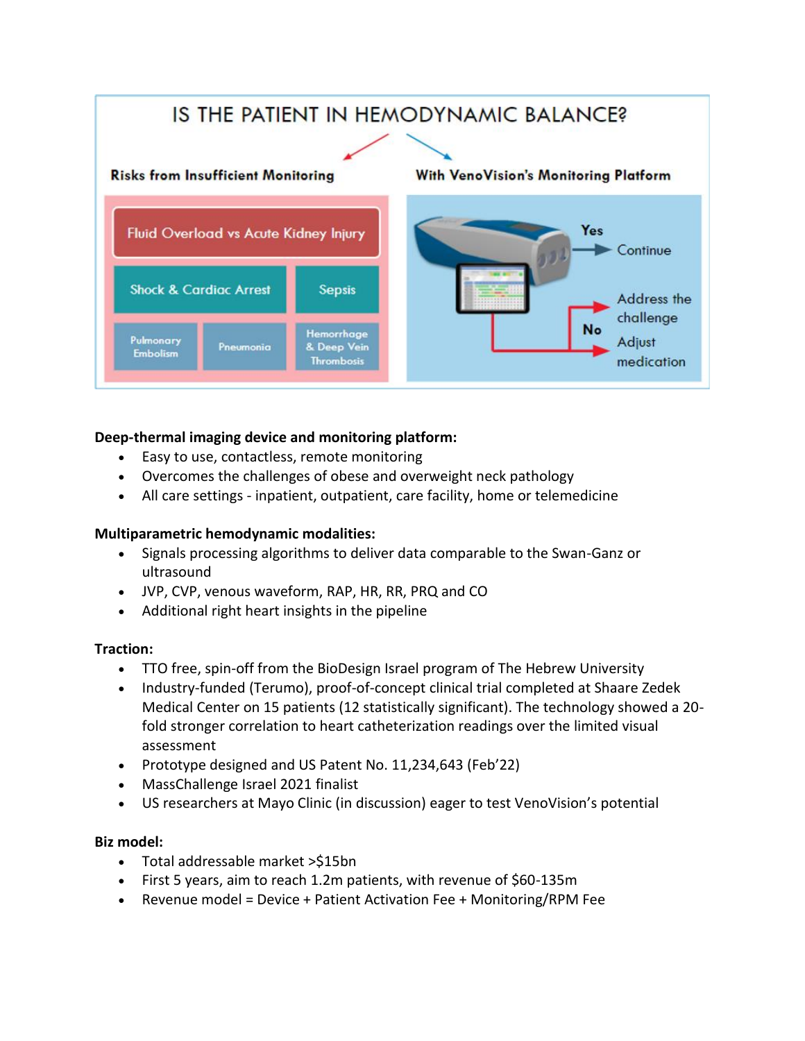

# **Deep-thermal imaging device and monitoring platform:**

- Easy to use, contactless, remote monitoring
- Overcomes the challenges of obese and overweight neck pathology
- All care settings inpatient, outpatient, care facility, home or telemedicine

# **Multiparametric hemodynamic modalities:**

- Signals processing algorithms to deliver data comparable to the Swan-Ganz or ultrasound
- JVP, CVP, venous waveform, RAP, HR, RR, PRQ and CO
- Additional right heart insights in the pipeline

# **Traction:**

- TTO free, spin-off from the BioDesign Israel program of The Hebrew University
- Industry-funded (Terumo), proof-of-concept clinical trial completed at Shaare Zedek Medical Center on 15 patients (12 statistically significant). The technology showed a 20 fold stronger correlation to heart catheterization readings over the limited visual assessment
- Prototype designed and US Patent No. 11,234,643 (Feb'22)
- MassChallenge Israel 2021 finalist
- US researchers at Mayo Clinic (in discussion) eager to test VenoVision's potential

# **Biz model:**

- Total addressable market >\$15bn
- First 5 years, aim to reach 1.2m patients, with revenue of \$60-135m
- Revenue model = Device + Patient Activation Fee + Monitoring/RPM Fee